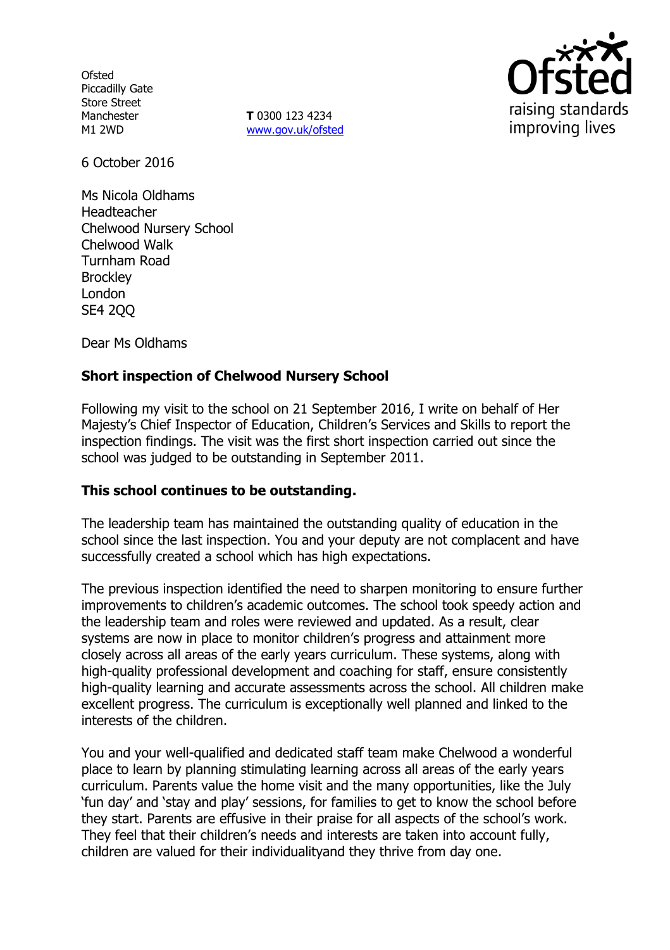**Ofsted** Piccadilly Gate Store Street Manchester M1 2WD

**T** 0300 123 4234 www.gov.uk/ofsted



6 October 2016

Ms Nicola Oldhams Headteacher Chelwood Nursery School Chelwood Walk Turnham Road **Brockley** London SE4 2QQ

Dear Ms Oldhams

# **Short inspection of Chelwood Nursery School**

Following my visit to the school on 21 September 2016, I write on behalf of Her Majesty's Chief Inspector of Education, Children's Services and Skills to report the inspection findings. The visit was the first short inspection carried out since the school was judged to be outstanding in September 2011.

## **This school continues to be outstanding.**

The leadership team has maintained the outstanding quality of education in the school since the last inspection. You and your deputy are not complacent and have successfully created a school which has high expectations.

The previous inspection identified the need to sharpen monitoring to ensure further improvements to children's academic outcomes. The school took speedy action and the leadership team and roles were reviewed and updated. As a result, clear systems are now in place to monitor children's progress and attainment more closely across all areas of the early years curriculum. These systems, along with high-quality professional development and coaching for staff, ensure consistently high-quality learning and accurate assessments across the school. All children make excellent progress. The curriculum is exceptionally well planned and linked to the interests of the children.

You and your well-qualified and dedicated staff team make Chelwood a wonderful place to learn by planning stimulating learning across all areas of the early years curriculum. Parents value the home visit and the many opportunities, like the July 'fun day' and 'stay and play' sessions, for families to get to know the school before they start. Parents are effusive in their praise for all aspects of the school's work. They feel that their children's needs and interests are taken into account fully, children are valued for their individualityand they thrive from day one.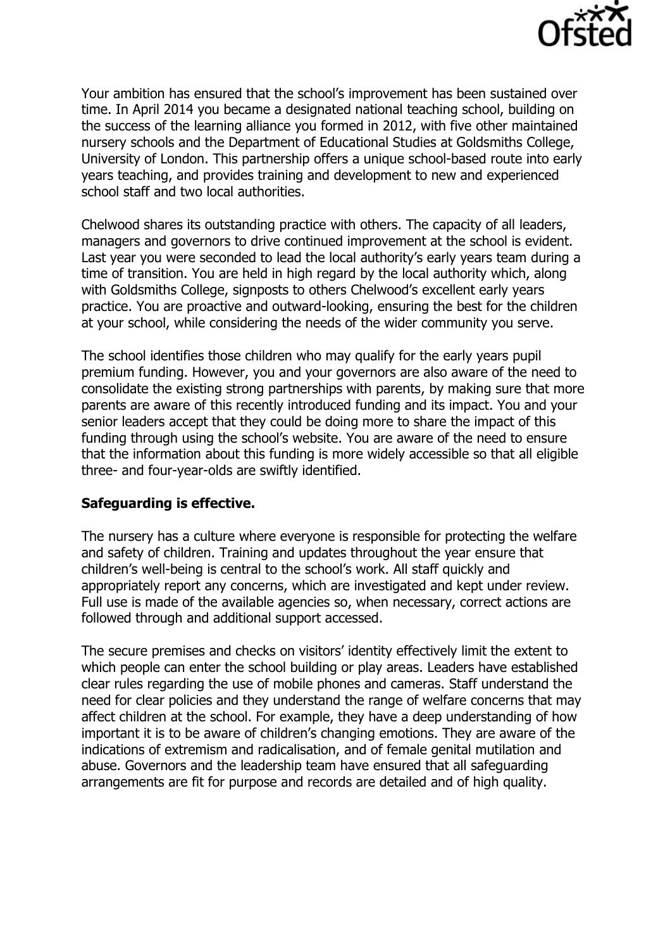

Your ambition has ensured that the school's improvement has been sustained over time. In April 2014 you became a designated national teaching school, building on the success of the learning alliance you formed in 2012, with five other maintained nursery schools and the Department of Educational Studies at Goldsmiths College, University of London. This partnership offers a unique school-based route into early years teaching, and provides training and development to new and experienced school staff and two local authorities.

Chelwood shares its outstanding practice with others. The capacity of all leaders, managers and governors to drive continued improvement at the school is evident. Last year you were seconded to lead the local authority's early years team during a time of transition. You are held in high regard by the local authority which, along with Goldsmiths College, signposts to others Chelwood's excellent early years practice. You are proactive and outward-looking, ensuring the best for the children at your school, while considering the needs of the wider community you serve.

The school identifies those children who may qualify for the early years pupil premium funding. However, you and your governors are also aware of the need to consolidate the existing strong partnerships with parents, by making sure that more parents are aware of this recently introduced funding and its impact. You and your senior leaders accept that they could be doing more to share the impact of this funding through using the school's website. You are aware of the need to ensure that the information about this funding is more widely accessible so that all eligible three- and four-year-olds are swiftly identified.

## **Safeguarding is effective.**

The nursery has a culture where everyone is responsible for protecting the welfare and safety of children. Training and updates throughout the year ensure that children's well-being is central to the school's work. All staff quickly and appropriately report any concerns, which are investigated and kept under review. Full use is made of the available agencies so, when necessary, correct actions are followed through and additional support accessed.

The secure premises and checks on visitors' identity effectively limit the extent to which people can enter the school building or play areas. Leaders have established clear rules regarding the use of mobile phones and cameras. Staff understand the need for clear policies and they understand the range of welfare concerns that may affect children at the school. For example, they have a deep understanding of how important it is to be aware of children's changing emotions. They are aware of the indications of extremism and radicalisation, and of female genital mutilation and abuse. Governors and the leadership team have ensured that all safeguarding arrangements are fit for purpose and records are detailed and of high quality.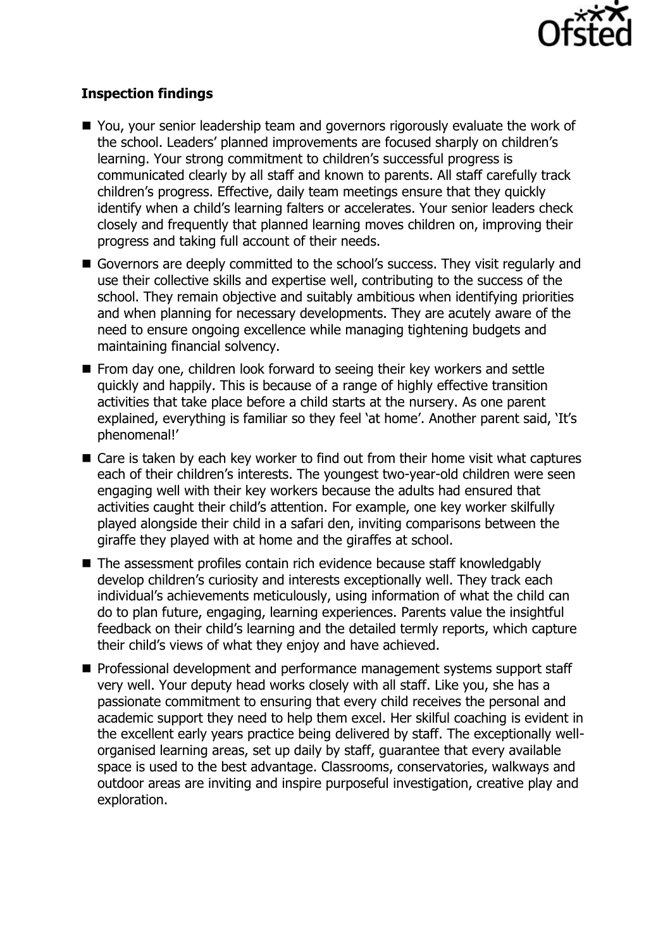

# **Inspection findings**

- You, your senior leadership team and governors rigorously evaluate the work of the school. Leaders' planned improvements are focused sharply on children's learning. Your strong commitment to children's successful progress is communicated clearly by all staff and known to parents. All staff carefully track children's progress. Effective, daily team meetings ensure that they quickly identify when a child's learning falters or accelerates. Your senior leaders check closely and frequently that planned learning moves children on, improving their progress and taking full account of their needs.
- Governors are deeply committed to the school's success. They visit regularly and use their collective skills and expertise well, contributing to the success of the school. They remain objective and suitably ambitious when identifying priorities and when planning for necessary developments. They are acutely aware of the need to ensure ongoing excellence while managing tightening budgets and maintaining financial solvency.
- **From day one, children look forward to seeing their key workers and settle** quickly and happily. This is because of a range of highly effective transition activities that take place before a child starts at the nursery. As one parent explained, everything is familiar so they feel 'at home'. Another parent said, 'It's phenomenal!'
- Care is taken by each key worker to find out from their home visit what captures each of their children's interests. The youngest two-year-old children were seen engaging well with their key workers because the adults had ensured that activities caught their child's attention. For example, one key worker skilfully played alongside their child in a safari den, inviting comparisons between the giraffe they played with at home and the giraffes at school.
- The assessment profiles contain rich evidence because staff knowledgably develop children's curiosity and interests exceptionally well. They track each individual's achievements meticulously, using information of what the child can do to plan future, engaging, learning experiences. Parents value the insightful feedback on their child's learning and the detailed termly reports, which capture their child's views of what they enjoy and have achieved.
- **Professional development and performance management systems support staff** very well. Your deputy head works closely with all staff. Like you, she has a passionate commitment to ensuring that every child receives the personal and academic support they need to help them excel. Her skilful coaching is evident in the excellent early years practice being delivered by staff. The exceptionally wellorganised learning areas, set up daily by staff, guarantee that every available space is used to the best advantage. Classrooms, conservatories, walkways and outdoor areas are inviting and inspire purposeful investigation, creative play and exploration.